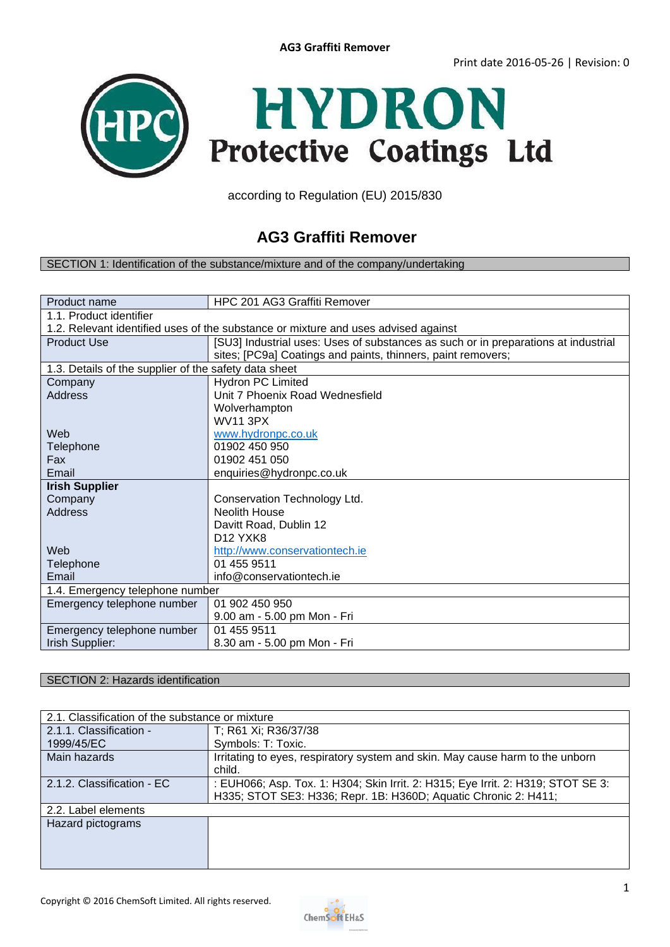

according to Regulation (EU) 2015/830

# **AG3 Graffiti Remover**

#### SECTION 1: Identification of the substance/mixture and of the company/undertaking

| Product name                                                                       | HPC 201 AG3 Graffiti Remover                                                       |  |  |  |
|------------------------------------------------------------------------------------|------------------------------------------------------------------------------------|--|--|--|
| 1.1. Product identifier                                                            |                                                                                    |  |  |  |
| 1.2. Relevant identified uses of the substance or mixture and uses advised against |                                                                                    |  |  |  |
| <b>Product Use</b>                                                                 | [SU3] Industrial uses: Uses of substances as such or in preparations at industrial |  |  |  |
|                                                                                    | sites; [PC9a] Coatings and paints, thinners, paint removers;                       |  |  |  |
| 1.3. Details of the supplier of the safety data sheet                              |                                                                                    |  |  |  |
| Company                                                                            | <b>Hydron PC Limited</b>                                                           |  |  |  |
| <b>Address</b>                                                                     | Unit 7 Phoenix Road Wednesfield                                                    |  |  |  |
|                                                                                    | Wolverhampton                                                                      |  |  |  |
|                                                                                    | <b>WV11 3PX</b>                                                                    |  |  |  |
| Web                                                                                | www.hydronpc.co.uk                                                                 |  |  |  |
| <b>Telephone</b>                                                                   | 01902 450 950                                                                      |  |  |  |
| Fax                                                                                | 01902 451 050                                                                      |  |  |  |
| Email                                                                              | enquiries@hydronpc.co.uk                                                           |  |  |  |
| <b>Irish Supplier</b>                                                              |                                                                                    |  |  |  |
| Company                                                                            | Conservation Technology Ltd.                                                       |  |  |  |
| <b>Address</b>                                                                     | <b>Neolith House</b>                                                               |  |  |  |
|                                                                                    | Davitt Road, Dublin 12                                                             |  |  |  |
|                                                                                    | D <sub>12</sub> YXK <sub>8</sub>                                                   |  |  |  |
| Web                                                                                | http://www.conservationtech.ie                                                     |  |  |  |
| <b>Telephone</b>                                                                   | 01 455 9511                                                                        |  |  |  |
| Email                                                                              | info@conservationtech.ie                                                           |  |  |  |
| 1.4. Emergency telephone number                                                    |                                                                                    |  |  |  |
| Emergency telephone number                                                         | 01 902 450 950                                                                     |  |  |  |
|                                                                                    | 9.00 am - 5.00 pm Mon - Fri                                                        |  |  |  |
| Emergency telephone number                                                         | 01 455 9511                                                                        |  |  |  |
| Irish Supplier:                                                                    | 8.30 am - 5.00 pm Mon - Fri                                                        |  |  |  |

### SECTION 2: Hazards identification

| 2.1. Classification of the substance or mixture |                                                                                  |  |
|-------------------------------------------------|----------------------------------------------------------------------------------|--|
| 2.1.1. Classification -                         | T; R61 Xi; R36/37/38                                                             |  |
| 1999/45/EC                                      | Symbols: T: Toxic.                                                               |  |
| Main hazards                                    | Irritating to eyes, respiratory system and skin. May cause harm to the unborn    |  |
|                                                 | child.                                                                           |  |
| 2.1.2. Classification - EC                      | : EUH066; Asp. Tox. 1: H304; Skin Irrit. 2: H315; Eye Irrit. 2: H319; STOT SE 3: |  |
|                                                 | H335; STOT SE3: H336; Repr. 1B: H360D; Aquatic Chronic 2: H411;                  |  |
| 2.2. Label elements                             |                                                                                  |  |
| Hazard pictograms                               |                                                                                  |  |
|                                                 |                                                                                  |  |
|                                                 |                                                                                  |  |
|                                                 |                                                                                  |  |

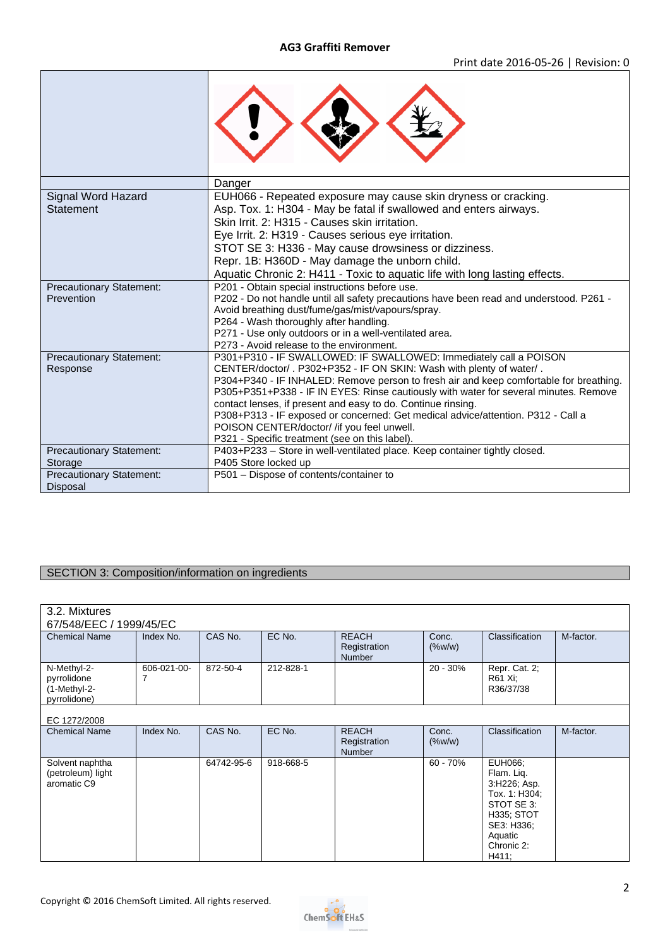|                                               | Danger                                                                                                                                                                                                                                                                                                                                                                                                                                                                                                                                                                          |
|-----------------------------------------------|---------------------------------------------------------------------------------------------------------------------------------------------------------------------------------------------------------------------------------------------------------------------------------------------------------------------------------------------------------------------------------------------------------------------------------------------------------------------------------------------------------------------------------------------------------------------------------|
| Signal Word Hazard<br>Statement               | EUH066 - Repeated exposure may cause skin dryness or cracking.<br>Asp. Tox. 1: H304 - May be fatal if swallowed and enters airways.<br>Skin Irrit, 2: H315 - Causes skin irritation.<br>Eye Irrit. 2: H319 - Causes serious eye irritation.<br>STOT SE 3: H336 - May cause drowsiness or dizziness.                                                                                                                                                                                                                                                                             |
|                                               | Repr. 1B: H360D - May damage the unborn child.                                                                                                                                                                                                                                                                                                                                                                                                                                                                                                                                  |
| <b>Precautionary Statement:</b><br>Prevention | Aquatic Chronic 2: H411 - Toxic to aquatic life with long lasting effects.<br>P201 - Obtain special instructions before use.<br>P202 - Do not handle until all safety precautions have been read and understood. P261 -<br>Avoid breathing dust/fume/gas/mist/vapours/spray.<br>P264 - Wash thoroughly after handling.<br>P271 - Use only outdoors or in a well-ventilated area.<br>P273 - Avoid release to the environment.                                                                                                                                                    |
| Precautionary Statement:<br>Response          | P301+P310 - IF SWALLOWED: IF SWALLOWED: Immediately call a POISON<br>CENTER/doctor/ . P302+P352 - IF ON SKIN: Wash with plenty of water/.<br>P304+P340 - IF INHALED: Remove person to fresh air and keep comfortable for breathing.<br>P305+P351+P338 - IF IN EYES: Rinse cautiously with water for several minutes. Remove<br>contact lenses, if present and easy to do. Continue rinsing.<br>P308+P313 - IF exposed or concerned: Get medical advice/attention. P312 - Call a<br>POISON CENTER/doctor/ /if you feel unwell.<br>P321 - Specific treatment (see on this label). |
| <b>Precautionary Statement:</b>               | P403+P233 - Store in well-ventilated place. Keep container tightly closed.                                                                                                                                                                                                                                                                                                                                                                                                                                                                                                      |
| Storage                                       | P405 Store locked up                                                                                                                                                                                                                                                                                                                                                                                                                                                                                                                                                            |
| Precautionary Statement:<br>Disposal          | P501 - Dispose of contents/container to                                                                                                                                                                                                                                                                                                                                                                                                                                                                                                                                         |

## **SECTION 3: Composition/information on ingredients**

| 3.2. Mixtures                                              |             |            |           |                                               |                    |                                                                                                                                           |           |
|------------------------------------------------------------|-------------|------------|-----------|-----------------------------------------------|--------------------|-------------------------------------------------------------------------------------------------------------------------------------------|-----------|
| 67/548/EEC / 1999/45/EC                                    |             |            |           |                                               |                    |                                                                                                                                           |           |
| <b>Chemical Name</b>                                       | Index No.   | CAS No.    | EC No.    | <b>REACH</b><br>Registration<br>Number        | Conc.<br>$(\%w/w)$ | Classification                                                                                                                            | M-factor. |
| N-Methyl-2-<br>pyrrolidone<br>(1-Methyl-2-<br>pyrrolidone) | 606-021-00- | 872-50-4   | 212-828-1 |                                               | $20 - 30%$         | Repr. Cat. 2;<br>R61 Xi;<br>R36/37/38                                                                                                     |           |
| EC 1272/2008                                               |             |            |           |                                               |                    |                                                                                                                                           |           |
| <b>Chemical Name</b>                                       | Index No.   | CAS No.    | EC No.    | <b>REACH</b><br>Registration<br><b>Number</b> | Conc.<br>$(\%w/w)$ | Classification                                                                                                                            | M-factor. |
| Solvent naphtha<br>(petroleum) light<br>aromatic C9        |             | 64742-95-6 | 918-668-5 |                                               | $60 - 70%$         | EUH066;<br>Flam. Lig.<br>3:H226; Asp.<br>Tox. 1: H304;<br>STOT SE 3:<br><b>H335; STOT</b><br>SE3: H336;<br>Aquatic<br>Chronic 2:<br>H411; |           |

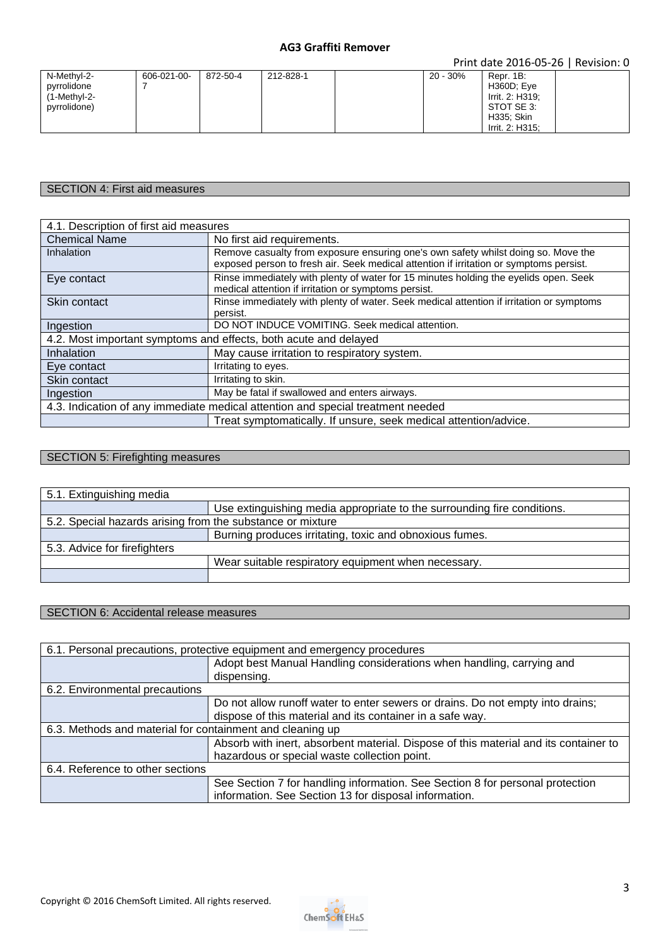#### **AG3 Graffiti Remover**

Print date 2016-05-26 | Revision: 0

### SECTION 4: First aid measures

| 4.1. Description of first aid measures                                          |                                                                                          |  |
|---------------------------------------------------------------------------------|------------------------------------------------------------------------------------------|--|
| <b>Chemical Name</b>                                                            | No first aid requirements.                                                               |  |
| Inhalation                                                                      | Remove casualty from exposure ensuring one's own safety whilst doing so. Move the        |  |
|                                                                                 | exposed person to fresh air. Seek medical attention if irritation or symptoms persist.   |  |
| Eye contact                                                                     | Rinse immediately with plenty of water for 15 minutes holding the eyelids open. Seek     |  |
|                                                                                 | medical attention if irritation or symptoms persist.                                     |  |
| Skin contact                                                                    | Rinse immediately with plenty of water. Seek medical attention if irritation or symptoms |  |
|                                                                                 | persist.                                                                                 |  |
| Ingestion                                                                       | DO NOT INDUCE VOMITING. Seek medical attention.                                          |  |
| 4.2. Most important symptoms and effects, both acute and delayed                |                                                                                          |  |
| Inhalation                                                                      | May cause irritation to respiratory system.                                              |  |
| Eye contact                                                                     | Irritating to eyes.                                                                      |  |
| Skin contact                                                                    | Irritating to skin.                                                                      |  |
| Ingestion                                                                       | May be fatal if swallowed and enters airways.                                            |  |
| 4.3. Indication of any immediate medical attention and special treatment needed |                                                                                          |  |
|                                                                                 | Treat symptomatically. If unsure, seek medical attention/advice.                         |  |

### SECTION 5: Firefighting measures

| 5.1. Extinguishing media                                   |                                                                         |  |
|------------------------------------------------------------|-------------------------------------------------------------------------|--|
|                                                            | Use extinguishing media appropriate to the surrounding fire conditions. |  |
| 5.2. Special hazards arising from the substance or mixture |                                                                         |  |
|                                                            | Burning produces irritating, toxic and obnoxious fumes.                 |  |
| 5.3. Advice for firefighters                               |                                                                         |  |
|                                                            | Wear suitable respiratory equipment when necessary.                     |  |
|                                                            |                                                                         |  |

## SECTION 6: Accidental release measures

| 6.1. Personal precautions, protective equipment and emergency procedures |                                                                                      |  |
|--------------------------------------------------------------------------|--------------------------------------------------------------------------------------|--|
|                                                                          | Adopt best Manual Handling considerations when handling, carrying and                |  |
|                                                                          | dispensing.                                                                          |  |
| 6.2. Environmental precautions                                           |                                                                                      |  |
|                                                                          | Do not allow runoff water to enter sewers or drains. Do not empty into drains;       |  |
|                                                                          | dispose of this material and its container in a safe way.                            |  |
| 6.3. Methods and material for containment and cleaning up                |                                                                                      |  |
|                                                                          | Absorb with inert, absorbent material. Dispose of this material and its container to |  |
|                                                                          | hazardous or special waste collection point.                                         |  |
| 6.4. Reference to other sections                                         |                                                                                      |  |
|                                                                          | See Section 7 for handling information. See Section 8 for personal protection        |  |
|                                                                          | information. See Section 13 for disposal information.                                |  |

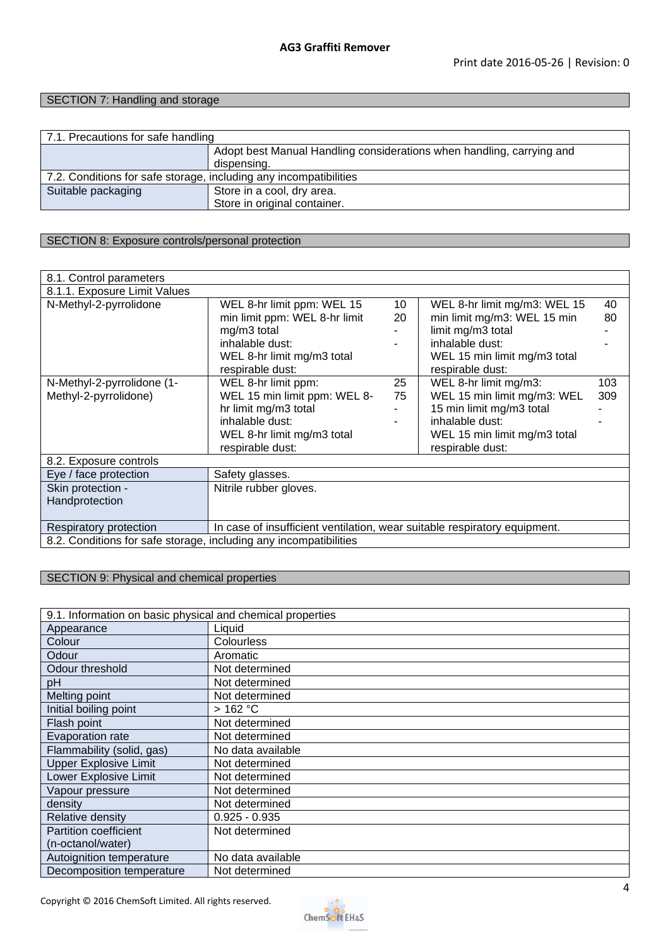### SECTION 7: Handling and storage

| 7.1. Precautions for safe handling                                |                                                                       |  |
|-------------------------------------------------------------------|-----------------------------------------------------------------------|--|
|                                                                   | Adopt best Manual Handling considerations when handling, carrying and |  |
|                                                                   | dispensing.                                                           |  |
| 7.2. Conditions for safe storage, including any incompatibilities |                                                                       |  |
| Suitable packaging                                                | Store in a cool, dry area.                                            |  |
|                                                                   | Store in original container.                                          |  |

### SECTION 8: Exposure controls/personal protection

| 8.1. Control parameters                                           |                                                                           |    |                              |     |
|-------------------------------------------------------------------|---------------------------------------------------------------------------|----|------------------------------|-----|
| 8.1.1. Exposure Limit Values                                      |                                                                           |    |                              |     |
| N-Methyl-2-pyrrolidone                                            | WEL 8-hr limit ppm: WEL 15                                                | 10 | WEL 8-hr limit mg/m3: WEL 15 | 40  |
|                                                                   | min limit ppm: WEL 8-hr limit                                             | 20 | min limit mg/m3: WEL 15 min  | 80  |
|                                                                   | mg/m3 total                                                               |    | limit mg/m3 total            |     |
|                                                                   | inhalable dust:                                                           |    | inhalable dust:              |     |
|                                                                   | WEL 8-hr limit mg/m3 total                                                |    | WEL 15 min limit mg/m3 total |     |
|                                                                   | respirable dust:                                                          |    | respirable dust:             |     |
| N-Methyl-2-pyrrolidone (1-                                        | WEL 8-hr limit ppm:                                                       | 25 | WEL 8-hr limit mg/m3:        | 103 |
| Methyl-2-pyrrolidone)                                             | WEL 15 min limit ppm: WEL 8-                                              | 75 | WEL 15 min limit mg/m3: WEL  | 309 |
|                                                                   | hr limit mg/m3 total                                                      |    | 15 min limit mg/m3 total     |     |
|                                                                   | inhalable dust:                                                           |    | inhalable dust:              |     |
|                                                                   | WEL 8-hr limit mg/m3 total                                                |    | WEL 15 min limit mg/m3 total |     |
|                                                                   | respirable dust:                                                          |    | respirable dust:             |     |
| 8.2. Exposure controls                                            |                                                                           |    |                              |     |
| Eye / face protection                                             | Safety glasses.                                                           |    |                              |     |
| Skin protection -                                                 | Nitrile rubber gloves.                                                    |    |                              |     |
| Handprotection                                                    |                                                                           |    |                              |     |
|                                                                   |                                                                           |    |                              |     |
| Respiratory protection                                            | In case of insufficient ventilation, wear suitable respiratory equipment. |    |                              |     |
| 8.2. Conditions for safe storage, including any incompatibilities |                                                                           |    |                              |     |

### SECTION 9: Physical and chemical properties

| 9.1. Information on basic physical and chemical properties |                   |  |
|------------------------------------------------------------|-------------------|--|
| Appearance                                                 | Liquid            |  |
| Colour                                                     | Colourless        |  |
| Odour                                                      | Aromatic          |  |
| Odour threshold                                            | Not determined    |  |
| pH                                                         | Not determined    |  |
| Melting point                                              | Not determined    |  |
| Initial boiling point                                      | >162 °C           |  |
| Flash point                                                | Not determined    |  |
| Evaporation rate                                           | Not determined    |  |
| Flammability (solid, gas)                                  | No data available |  |
| <b>Upper Explosive Limit</b>                               | Not determined    |  |
| Lower Explosive Limit                                      | Not determined    |  |
| Vapour pressure                                            | Not determined    |  |
| density                                                    | Not determined    |  |
| Relative density                                           | $0.925 - 0.935$   |  |
| Partition coefficient                                      | Not determined    |  |
| (n-octanol/water)                                          |                   |  |
| Autoignition temperature                                   | No data available |  |
| Decomposition temperature                                  | Not determined    |  |

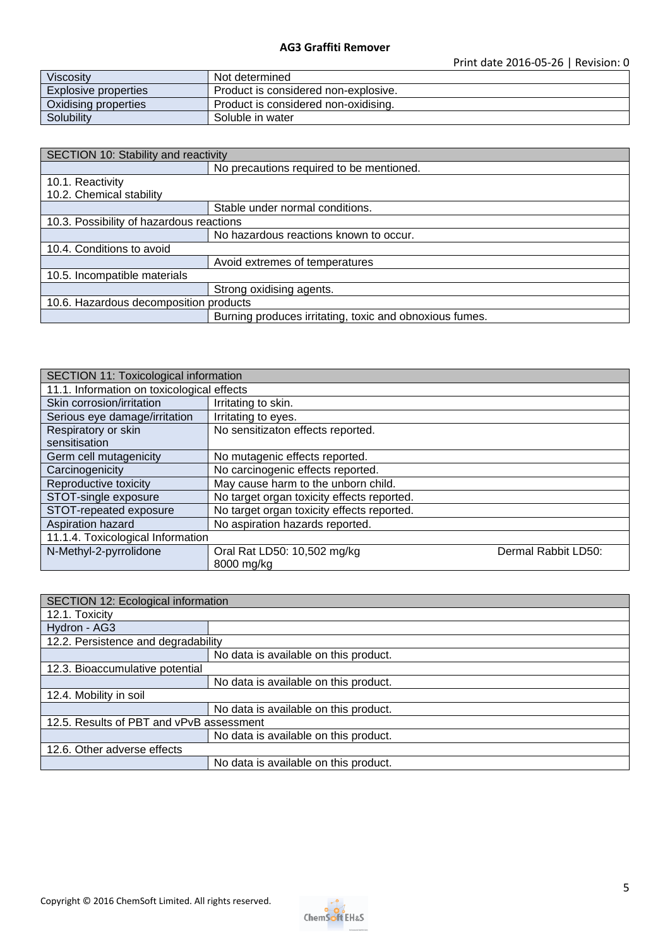| <b>Viscosity</b>     | Not determined                       |
|----------------------|--------------------------------------|
| Explosive properties | Product is considered non-explosive. |
| Oxidising properties | Product is considered non-oxidising. |
| Solubility           | Soluble in water                     |

| SECTION 10: Stability and reactivity     |                                                         |  |
|------------------------------------------|---------------------------------------------------------|--|
|                                          | No precautions required to be mentioned.                |  |
| 10.1. Reactivity                         |                                                         |  |
| 10.2. Chemical stability                 |                                                         |  |
|                                          | Stable under normal conditions.                         |  |
| 10.3. Possibility of hazardous reactions |                                                         |  |
|                                          | No hazardous reactions known to occur.                  |  |
| 10.4. Conditions to avoid                |                                                         |  |
|                                          | Avoid extremes of temperatures                          |  |
| 10.5. Incompatible materials             |                                                         |  |
|                                          | Strong oxidising agents.                                |  |
| 10.6. Hazardous decomposition products   |                                                         |  |
|                                          | Burning produces irritating, toxic and obnoxious fumes. |  |

| SECTION 11: Toxicological information      |                                            |                     |
|--------------------------------------------|--------------------------------------------|---------------------|
| 11.1. Information on toxicological effects |                                            |                     |
| Skin corrosion/irritation                  | Irritating to skin.                        |                     |
| Serious eye damage/irritation              | Irritating to eyes.                        |                     |
| Respiratory or skin                        | No sensitizaton effects reported.          |                     |
| sensitisation                              |                                            |                     |
| Germ cell mutagenicity                     | No mutagenic effects reported.             |                     |
| Carcinogenicity                            | No carcinogenic effects reported.          |                     |
| Reproductive toxicity                      | May cause harm to the unborn child.        |                     |
| STOT-single exposure                       | No target organ toxicity effects reported. |                     |
| STOT-repeated exposure                     | No target organ toxicity effects reported. |                     |
| Aspiration hazard                          | No aspiration hazards reported.            |                     |
| 11.1.4. Toxicological Information          |                                            |                     |
| N-Methyl-2-pyrrolidone                     | Oral Rat LD50: 10,502 mg/kg                | Dermal Rabbit LD50: |
|                                            | 8000 mg/kg                                 |                     |

| SECTION 12: Ecological information       |                                       |  |
|------------------------------------------|---------------------------------------|--|
| 12.1. Toxicity                           |                                       |  |
| Hydron - AG3                             |                                       |  |
| 12.2. Persistence and degradability      |                                       |  |
|                                          | No data is available on this product. |  |
| 12.3. Bioaccumulative potential          |                                       |  |
|                                          | No data is available on this product. |  |
| 12.4. Mobility in soil                   |                                       |  |
|                                          | No data is available on this product. |  |
| 12.5. Results of PBT and vPvB assessment |                                       |  |
|                                          | No data is available on this product. |  |
| 12.6. Other adverse effects              |                                       |  |
|                                          | No data is available on this product. |  |

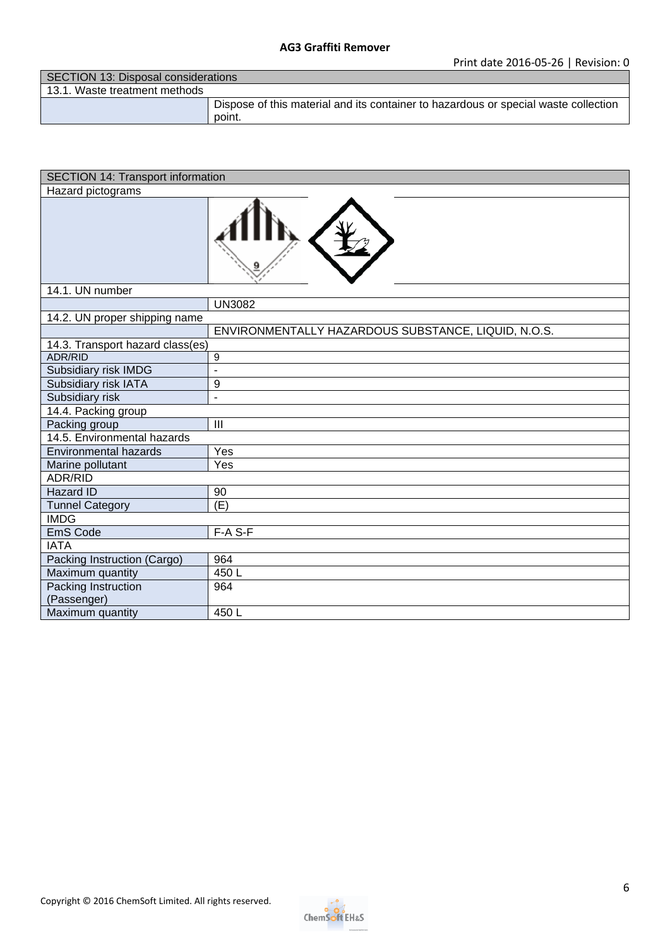| SECTION 13: Disposal considerations |                                                                                               |
|-------------------------------------|-----------------------------------------------------------------------------------------------|
| 13.1. Waste treatment methods       |                                                                                               |
|                                     | Dispose of this material and its container to hazardous or special waste collection<br>point. |

| <b>SECTION 14: Transport information</b> |                                                     |  |
|------------------------------------------|-----------------------------------------------------|--|
| Hazard pictograms                        |                                                     |  |
|                                          |                                                     |  |
| 14.1. UN number                          |                                                     |  |
|                                          | <b>UN3082</b>                                       |  |
| 14.2. UN proper shipping name            |                                                     |  |
|                                          | ENVIRONMENTALLY HAZARDOUS SUBSTANCE, LIQUID, N.O.S. |  |
| 14.3. Transport hazard class(es)         |                                                     |  |
| <b>ADR/RID</b>                           | 9                                                   |  |
| Subsidiary risk IMDG                     | $\overline{a}$                                      |  |
| Subsidiary risk IATA                     | 9                                                   |  |
| Subsidiary risk                          | ÷,                                                  |  |
| 14.4. Packing group                      |                                                     |  |
| Packing group                            | $\mathbf{III}$                                      |  |
| 14.5. Environmental hazards              |                                                     |  |
| <b>Environmental hazards</b>             | Yes                                                 |  |
| Marine pollutant                         | Yes                                                 |  |
| ADR/RID                                  |                                                     |  |
| Hazard ID                                | 90                                                  |  |
| <b>Tunnel Category</b>                   | (E)                                                 |  |
| <b>IMDG</b>                              |                                                     |  |
| EmS Code                                 | F-A S-F                                             |  |
| <b>IATA</b>                              |                                                     |  |
| Packing Instruction (Cargo)              | 964                                                 |  |
| Maximum quantity                         | 450L                                                |  |
| Packing Instruction<br>(Passenger)       | 964                                                 |  |
| Maximum quantity                         | 450L                                                |  |